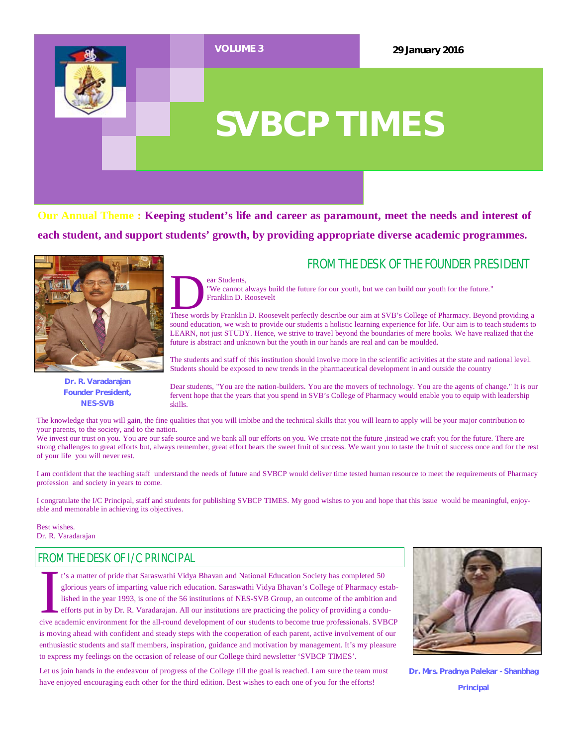

**Our Annual Theme : Keeping student's life and career as paramount, meet the needs and interest of each student, and support students' growth, by providing appropriate diverse academic programmes.**

ear Students,



**Dr. R. Varadarajan Founder President, NES-SVB**

### FROM THE DESK OF THE FOUNDER PRESIDENT

EXTERN THESE WARD THE SERVICE THE SERVICE THE SERVICE THE SERVICE THE SERVICE THE SERVICE THE SERVICE THE SERVICE THE SERVICE OUR AIM AND THE SERVICE OUR SERVICE OUR AIM AND THE SERVICE OUR SERVICE OUR SERVICE OUR SERVICE "We cannot always build the future for our youth, but we can build our youth for the future." Franklin D. Roosevelt

sound education, we wish to provide our students a holistic learning experience for life. Our aim is to teach students to LEARN, not just STUDY. Hence, we strive to travel beyond the boundaries of mere books. We have realized that the future is abstract and unknown but the youth in our hands are real and can be moulded.

The students and staff of this institution should involve more in the scientific activities at the state and national level. Students should be exposed to new trends in the pharmaceutical development in and outside the country

Dear students, "You are the nation-builders. You are the movers of technology. You are the agents of change." It is our fervent hope that the years that you spend in SVB's College of Pharmacy would enable you to equip with leadership skills.

The knowledge that you will gain, the fine qualities that you will imbibe and the technical skills that you will learn to apply will be your major contribution to your parents, to the society, and to the nation.

We invest our trust on you. You are our safe source and we bank all our efforts on you. We create not the future, instead we craft you for the future. There are strong challenges to great efforts but, always remember, great effort bears the sweet fruit of success. We want you to taste the fruit of success once and for the rest of your life you will never rest.

I am confident that the teaching staff understand the needs of future and SVBCP would deliver time tested human resource to meet the requirements of Pharmacy profession and society in years to come.

I congratulate the I/C Principal, staff and students for publishing SVBCP TIMES. My good wishes to you and hope that this issue would be meaningful, enjoyable and memorable in achieving its objectives.

Best wishes. Dr. R. Varadarajan

### FROM THE DESK OF I/C PRINCIPAL

<sup>t</sup>'s a matter of pride that Saraswathi Vidya Bhavan and National Education Society has completed 50 glorious years of imparting value rich education. Saraswathi Vidya Bhavan's College of Pharmacy established in the year 1 t's a matter of pride that Saraswathi Vidya Bhavan and National Education Society has completed 50 glorious years of imparting value rich education. Saraswathi Vidya Bhavan's College of Pharmacy established in the year 1993, is one of the 56 institutions of NES-SVB Group, an outcome of the ambition and efforts put in by Dr. R. Varadarajan. All our institutions are practicing the policy of providing a conduis moving ahead with confident and steady steps with the cooperation of each parent, active involvement of our enthusiastic students and staff members, inspiration, guidance and motivation by management. It's my pleasure to express my feelings on the occasion of release of our College third newsletter 'SVBCP TIMES'.

Let us join hands in the endeavour of progress of the College till the goal is reached. I am sure the team must have enjoyed encouraging each other for the third edition. Best wishes to each one of you for the efforts!



**Dr. Mrs. Pradnya Palekar - Shanbhag Principal**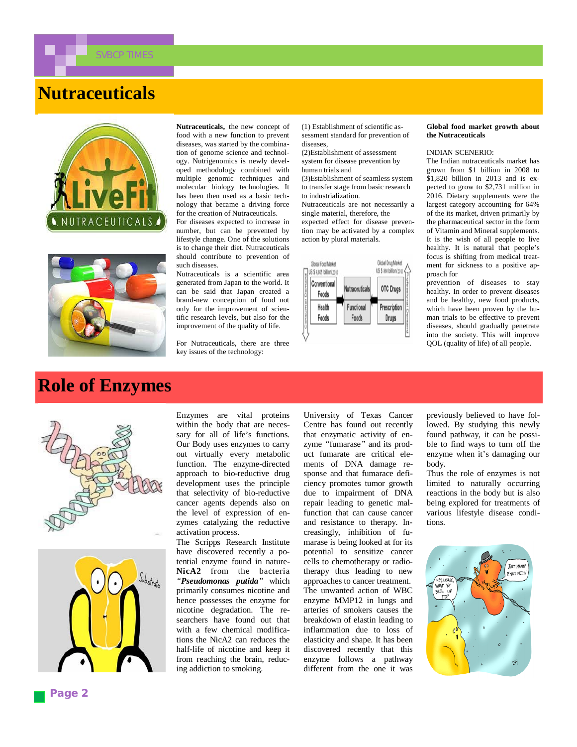

# **Nutraceuticals**





**Role of Enzymes**

**Nutraceuticals,** the new concept of food with a new function to prevent diseases, was started by the combination of genome science and technology. Nutrigenomics is newly developed methodology combined with multiple genomic techniques and molecular biology technologies. It has been then used as a basic technology that became a driving force for the creation of Nutraceuticals.

For diseases expected to increase in number, but can be prevented by lifestyle change. One of the solutions is to change their diet. Nutraceuticals should contribute to prevention of such diseases.

Nutraceuticals is a scientific area generated from Japan to the world. It can be said that Japan created a brand-new conception of food not only for the improvement of scientific research levels, but also for the improvement of the quality of life.

For Nutraceuticals, there are three key issues of the technology:

(1) Establishment of scientific assessment standard for prevention of diseases,

(2)Establishment of assessment system for disease prevention by human trials and

(3)Establishment of seamless system to transfer stage from basic research to industrialization.

Nutraceuticals are not necessarily a single material, therefore, the expected effect for disease prevention may be activated by a complex action by plural materials.



#### **Global food market growth about the Nutraceuticals**

#### INDIAN SCENERIO:

The Indian nutraceuticals market has grown from \$1 billion in 2008 to \$1,820 billion in 2013 and is expected to grow to \$2,731 million in 2016. Dietary supplements were the largest category accounting for 64% of the its market, driven primarily by the pharmaceutical sector in the form of Vitamin and Mineral supplements. It is the wish of all people to live healthy. It is natural that people's focus is shifting from medical treatment for sickness to a positive approach for

prevention of diseases to stay healthy. In order to prevent diseases and be healthy, new food products, which have been proven by the human trials to be effective to prevent diseases, should gradually penetrate into the society. This will improve QOL (quality of life) of all people.





Enzymes are vital proteins within the body that are necessary for all of life's functions. Our Body uses enzymes to carry out virtually every metabolic function. The enzyme-directed approach to bio-reductive drug development uses the principle that selectivity of bio-reductive cancer agents depends also on the level of expression of enzymes catalyzing the reductive activation process.

The Scripps Research Institute have discovered recently a potential enzyme found in nature-**NicA2** from the bacteria *"Pseudomonas putida"* which primarily consumes nicotine and hence possesses the enzyme for nicotine degradation. The researchers have found out that with a few chemical modifications the NicA2 can reduces the half-life of nicotine and keep it from reaching the brain, reducing addiction to smoking.

University of Texas Cancer Centre has found out recently that enzymatic activity of enzyme *"*fumarase*"* and its product fumarate are critical elements of DNA damage response and that fumarace deficiency promotes tumor growth due to impairment of DNA repair leading to genetic malfunction that can cause cancer and resistance to therapy. Increasingly, inhibition of fumarase is being looked at for its potential to sensitize cancer cells to chemotherapy or radiotherapy thus leading to new approaches to cancer treatment. The unwanted action of WBC enzyme MMP12 in lungs and arteries of smokers causes the breakdown of elastin leading to inflammation due to loss of elasticity and shape. It has been discovered recently that this enzyme follows a pathway different from the one it was

previously believed to have followed. By studying this newly found pathway, it can be possible to find ways to turn off the enzyme when it's damaging our body.

Thus the role of enzymes is not limited to naturally occurring reactions in the body but is also being explored for treatments of various lifestyle disease conditions.

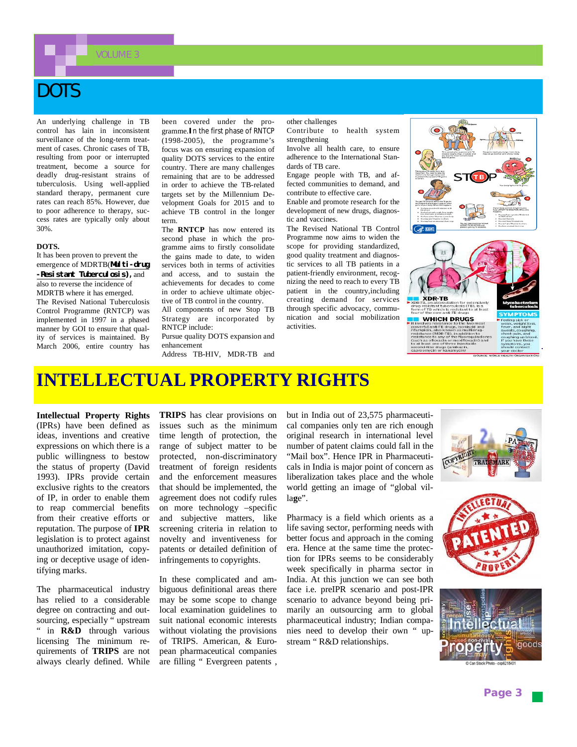OLUME 3

# DOTS

An underlying challenge in TB control has lain in inconsistent surveillance of the long-term treatment of cases. Chronic cases of TB resulting from poor or interrupted treatment, become a source for deadly drug-resistant strains of tuberculosis. Using well-applied standard therapy, permanent cure rates can reach 85%. However, due to poor adherence to therapy, success rates are typically only about 30%.

#### **DOTS.**

It has been proven to prevent the emergence of MDRTB(**Multi-drug -Resistant Tuberculosis),** and also to reverse the incidence of MDRTB where it has emerged. The Revised National Tuberculosis Control Programme (RNTCP) was implemented in 1997 in a phased manner by GOI to ensure that quality of services is maintained. By March 2006, entire country has been covered under the programme.**I**n the first phase of RNTCP (1998-2005), the programme's focus was on ensuring expansion of quality DOTS services to the entire country. There are many challenges remaining that are to be addressed in order to achieve the TB-related targets set by the Millennium Development Goals for 2015 and to achieve TB control in the longer term.

The **RNTCP** has now entered its second phase in which the programme aims to firstly consolidate the gains made to date, to widen services both in terms of activities and access, and to sustain the achievements for decades to come in order to achieve ultimate objective of TB control in the country.

All components of new Stop TB Strategy are incorporated by RNTCP include: Pursue quality DOTS expansion and

enhancement Address TB-HIV, MDR-TB and other challenges Contribute to health system strengthening

Involve all health care, to ensure adherence to the International Standards of TB care.

Engage people with TB, and affected communities to demand, and contribute to effective care.

Enable and promote research for the development of new drugs, diagnostic and vaccines.

The Revised National TB Control Programme now aims to widen the scope for providing standardized, good quality treatment and diagnostic services to all TB patients in a patient-friendly environment, recognizing the need to reach to every TB patient in the country,including creating demand for services through specific advocacy, communication and social mobilization activities.



**WHICH DRUGS** 

## **INTELLECTUAL PROPERTY RIGHTS**

**Intellectual Property Rights** (IPRs) have been defined as ideas, inventions and creative expressions on which there is a public willingness to bestow the status of property (David 1993). IPRs provide certain exclusive rights to the creators of IP, in order to enable them to reap commercial benefits from their creative efforts or reputation. The purpose of **IPR** legislation is to protect against unauthorized imitation, copying or deceptive usage of identifying marks.

The pharmaceutical industry has relied to a considerable degree on contracting and outsourcing, especially " upstream " in **R&D** through various licensing The minimum requirements of **TRIPS** are not always clearly defined. While

**TRIPS** has clear provisions on issues such as the minimum time length of protection, the range of subject matter to be protected, non-discriminatory treatment of foreign residents and the enforcement measures that should be implemented, the agreement does not codify rules on more technology –specific and subjective matters, like screening criteria in relation to novelty and inventiveness for patents or detailed definition of infringements to copyrights.

In these complicated and ambiguous definitional areas there may be some scope to change local examination guidelines to suit national economic interests without violating the provisions of TRIPS. American, & European pharmaceutical companies are filling " Evergreen patents , but in India out of 23,575 pharmaceutical companies only ten are rich enough original research in international level number of patent claims could fall in the "Mail box". Hence IPR in Pharmaceuticals in India is major point of concern as liberalization takes place and the whole world getting an image of "global villa**g**e".